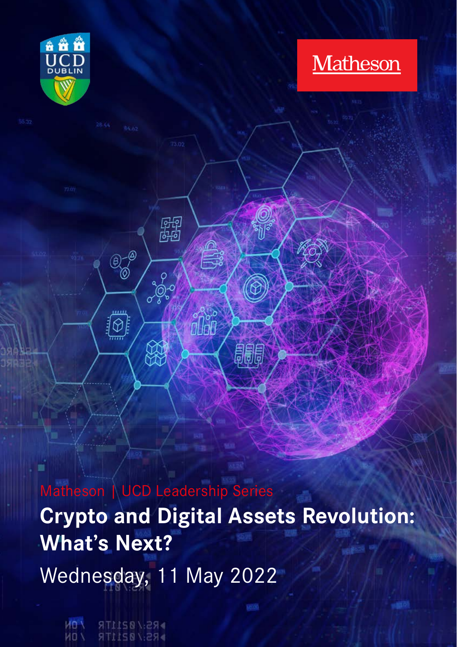

**Matheson** 

Matheson | UCD Leadership Series **Crypto and Digital Assets Revolution: What's Next?** Wednesday, 11 May 2022

關

爱

Ê

騙

 $\overset{\odot}{\mathcal{O}}$ 

.....  $\overline{\textcircled{2}}$ 

**VIO PRS:/0211TR PRS:/0211TR VON**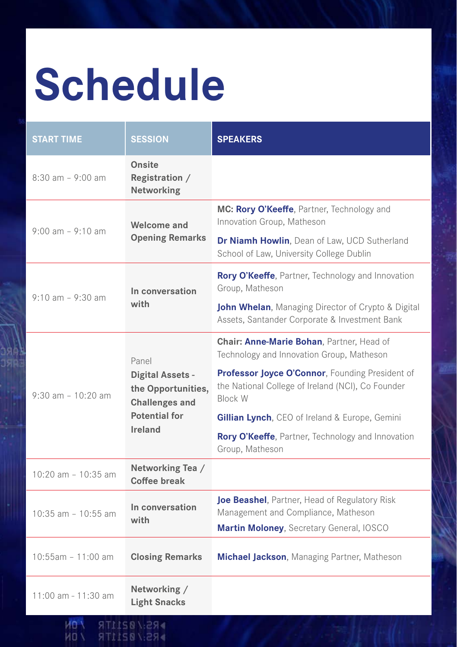# **Schedule**

| <b>START TIME</b>                   | <b>SESSION</b>                                                                                              | <b>SPEAKERS</b>                                                                                                                                                                                                                                                                                                                            |
|-------------------------------------|-------------------------------------------------------------------------------------------------------------|--------------------------------------------------------------------------------------------------------------------------------------------------------------------------------------------------------------------------------------------------------------------------------------------------------------------------------------------|
| $8:30$ am - 9:00 am                 | Onsite<br>Registration /<br>Networking                                                                      |                                                                                                                                                                                                                                                                                                                                            |
| $9:00$ am $-9:10$ am                | Welcome and<br><b>Opening Remarks</b>                                                                       | MC: Rory O'Keeffe, Partner, Technology and<br>Innovation Group, Matheson<br>Dr Niamh Howlin, Dean of Law, UCD Sutherland<br>School of Law, University College Dublin                                                                                                                                                                       |
| $9:10$ am $-9:30$ am                | In conversation<br>with                                                                                     | Rory O'Keeffe, Partner, Technology and Innovation<br>Group, Matheson<br>John Whelan, Managing Director of Crypto & Digital<br>Assets, Santander Corporate & Investment Bank                                                                                                                                                                |
| $9:30$ am - 10:20 am                | Panel<br>Digital Assets -<br>the Opportunities,<br><b>Challenges and</b><br><b>Potential for</b><br>Ireland | Chair: Anne-Marie Bohan, Partner, Head of<br>Technology and Innovation Group, Matheson<br>Professor Joyce O'Connor, Founding President of<br>the National College of Ireland (NCI), Co Founder<br><b>Block W</b><br>Gillian Lynch, CEO of Ireland & Europe, Gemini<br>Rory O'Keeffe, Partner, Technology and Innovation<br>Group, Matheson |
| $10:20$ am $-10:35$ am              | Networking Tea /<br>Coffee break                                                                            |                                                                                                                                                                                                                                                                                                                                            |
| 10:35 am - 10:55 am                 | In conversation<br>with                                                                                     | Joe Beashel, Partner, Head of Regulatory Risk<br>Management and Compliance, Matheson<br>Martin Moloney, Secretary General, IOSCO                                                                                                                                                                                                           |
| $10:55am - 11:00 am$                | <b>Closing Remarks</b>                                                                                      | <b>Michael Jackson, Managing Partner, Matheson</b>                                                                                                                                                                                                                                                                                         |
| 11:00 am - 11:30 am<br><b>UMPER</b> | Networking /<br><b>Light Snacks</b><br>$CQ$ / $QT$                                                          |                                                                                                                                                                                                                                                                                                                                            |

**MO \ RS:/021ITR**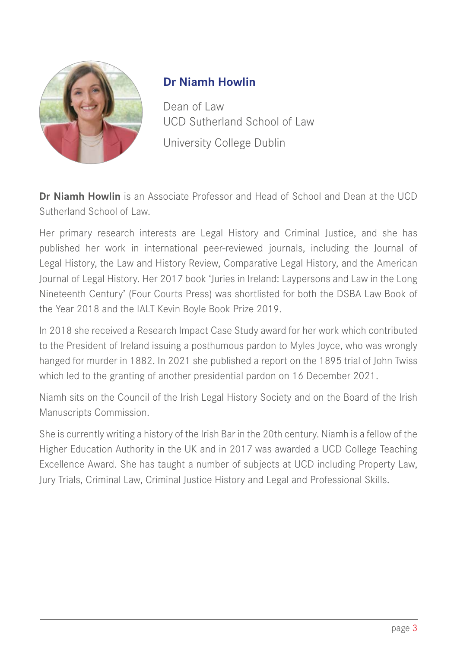

# <span id="page-2-0"></span>**Dr Niamh Howlin**

Dean of Law UCD Sutherland School of Law University College Dublin

**Dr Niamh Howlin** is an Associate Professor and Head of School and Dean at the UCD Sutherland School of Law.

Her primary research interests are Legal History and Criminal Justice, and she has published her work in international peer-reviewed journals, including the Journal of Legal History, the Law and History Review, Comparative Legal History, and the American Journal of Legal History. Her 2017 book 'Juries in Ireland: Laypersons and Law in the Long Nineteenth Century' (Four Courts Press) was shortlisted for both the DSBA Law Book of the Year 2018 and the IALT Kevin Boyle Book Prize 2019.

In 2018 she received a Research Impact Case Study award for her work which contributed to the President of Ireland issuing a posthumous pardon to Myles Joyce, who was wrongly hanged for murder in 1882. In 2021 she published a report on the 1895 trial of John Twiss which led to the granting of another presidential pardon on 16 December 2021.

Niamh sits on the Council of the Irish Legal History Society and on the Board of the Irish Manuscripts Commission.

She is currently writing a history of the Irish Bar in the 20th century. Niamh is a fellow of the Higher Education Authority in the UK and in 2017 was awarded a UCD College Teaching Excellence Award. She has taught a number of subjects at UCD including Property Law, Jury Trials, Criminal Law, Criminal Justice History and Legal and Professional Skills.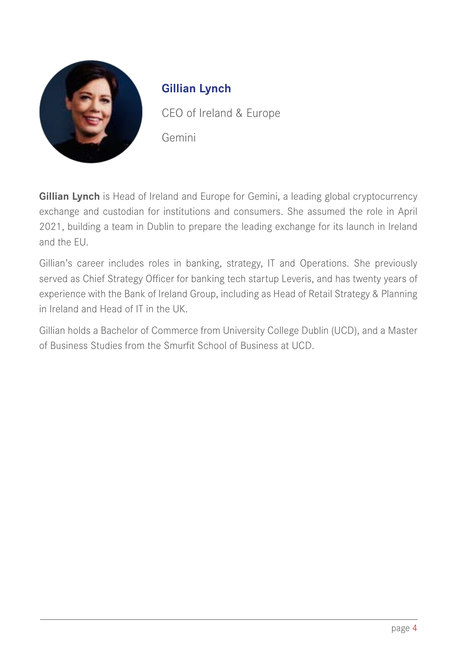

# **Gillian Lynch**

CEO of Ireland & Europe Gemini

**Gillian Lynch** is Head of Ireland and Europe for Gemini, a leading global cryptocurrency exchange and custodian for institutions and consumers. She assumed the role in April 2021, building a team in Dublin to prepare the leading exchange for its launch in Ireland and the EU.

Gillian's career includes roles in banking, strategy, IT and Operations. She previously served as Chief Strategy Officer for banking tech startup Leveris, and has twenty years of experience with the Bank of Ireland Group, including as Head of Retail Strategy & Planning in Ireland and Head of IT in the UK.

Gillian holds a Bachelor of Commerce from University College Dublin (UCD), and a Master of Business Studies from the Smurfit School of Business at UCD.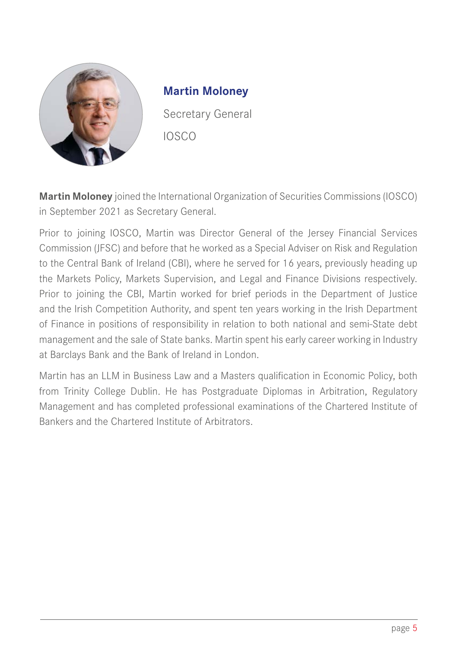

#### <span id="page-4-0"></span>**Martin Moloney**

Secretary General IOSCO

**Martin Moloney** joined the International Organization of Securities Commissions (IOSCO) in September 2021 as Secretary General.

Prior to joining IOSCO, Martin was Director General of the Jersey Financial Services Commission (JFSC) and before that he worked as a Special Adviser on Risk and Regulation to the Central Bank of Ireland (CBI), where he served for 16 years, previously heading up the Markets Policy, Markets Supervision, and Legal and Finance Divisions respectively. Prior to joining the CBI, Martin worked for brief periods in the Department of Justice and the Irish Competition Authority, and spent ten years working in the Irish Department of Finance in positions of responsibility in relation to both national and semi-State debt management and the sale of State banks. Martin spent his early career working in Industry at Barclays Bank and the Bank of Ireland in London.

Martin has an LLM in Business Law and a Masters qualification in Economic Policy, both from Trinity College Dublin. He has Postgraduate Diplomas in Arbitration, Regulatory Management and has completed professional examinations of the Chartered Institute of Bankers and the Chartered Institute of Arbitrators.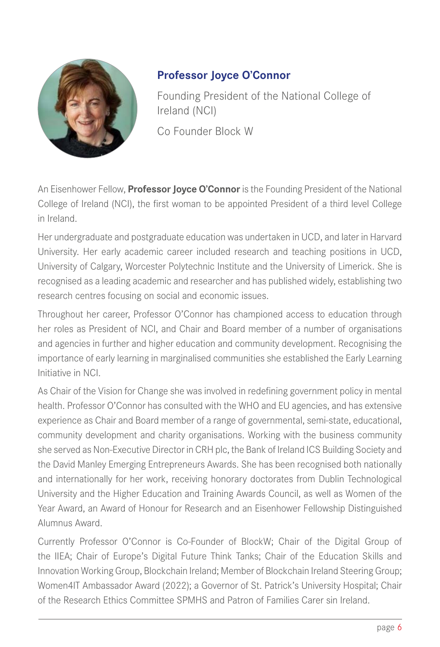

# <span id="page-5-0"></span>**Professor Joyce O'Connor**

Founding President of the National College of Ireland (NCI) Co Founder Block W

An Eisenhower Fellow, **Professor Joyce O'Connor** is the Founding President of the National College of Ireland (NCI), the first woman to be appointed President of a third level College in Ireland.

Her undergraduate and postgraduate education was undertaken in UCD, and later in Harvard University. Her early academic career included research and teaching positions in UCD, University of Calgary, Worcester Polytechnic Institute and the University of Limerick. She is recognised as a leading academic and researcher and has published widely, establishing two research centres focusing on social and economic issues.

Throughout her career, Professor O'Connor has championed access to education through her roles as President of NCI, and Chair and Board member of a number of organisations and agencies in further and higher education and community development. Recognising the importance of early learning in marginalised communities she established the Early Learning Initiative in NCI.

As Chair of the Vision for Change she was involved in redefining government policy in mental health. Professor O'Connor has consulted with the WHO and EU agencies, and has extensive experience as Chair and Board member of a range of governmental, semi-state, educational, community development and charity organisations. Working with the business community she served as Non-Executive Director in CRH plc, the Bank of Ireland ICS Building Society and the David Manley Emerging Entrepreneurs Awards. She has been recognised both nationally and internationally for her work, receiving honorary doctorates from Dublin Technological University and the Higher Education and Training Awards Council, as well as Women of the Year Award, an Award of Honour for Research and an Eisenhower Fellowship Distinguished Alumnus Award.

Currently Professor O'Connor is Co-Founder of BlockW; Chair of the Digital Group of the IIEA; Chair of Europe's Digital Future Think Tanks; Chair of the Education Skills and Innovation Working Group, Blockchain Ireland; Member of Blockchain Ireland Steering Group; Women4lT Ambassador Award (2022); a Governor of St. Patrick's University Hospital; Chair of the Research Ethics Committee SPMHS and Patron of Families Carer sin Ireland.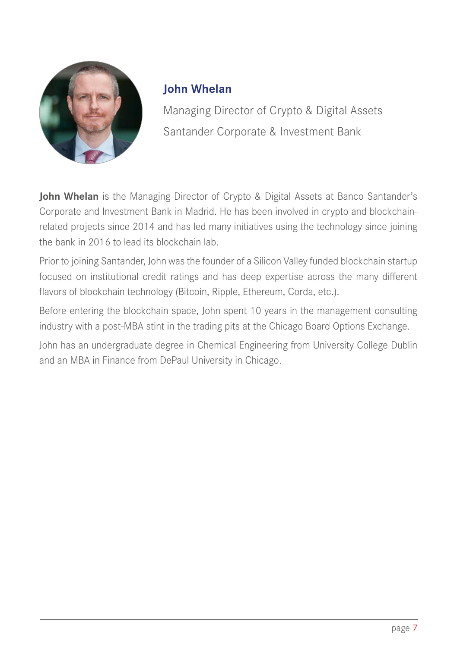

### <span id="page-6-0"></span>**John Whelan**

Managing Director of Crypto & Digital Assets Santander Corporate & Investment Bank

**John Whelan** is the Managing Director of Crypto & Digital Assets at Banco Santander's Corporate and Investment Bank in Madrid. He has been involved in crypto and blockchainrelated projects since 2014 and has led many initiatives using the technology since joining the bank in 2016 to lead its blockchain lab.

Prior to joining Santander, John was the founder of a Silicon Valley funded blockchain startup focused on institutional credit ratings and has deep expertise across the many different flavors of blockchain technology (Bitcoin, Ripple, Ethereum, Corda, etc.).

Before entering the blockchain space, John spent 10 years in the management consulting industry with a post-MBA stint in the trading pits at the Chicago Board Options Exchange.

John has an undergraduate degree in Chemical Engineering from University College Dublin and an MBA in Finance from DePaul University in Chicago.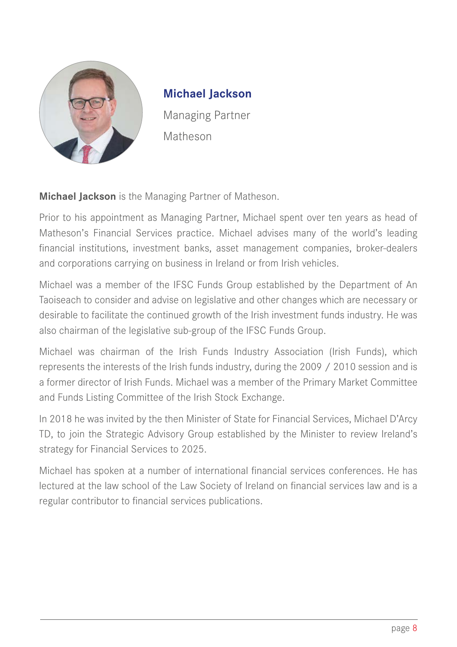

#### <span id="page-7-0"></span>**[Michael Jackson](https://www.matheson.com/people/michael-jackson)**

Managing Partner Matheson

**Michael Jackson** is the Managing Partner of Matheson.

Prior to his appointment as Managing Partner, Michael spent over ten years as head of Matheson's Financial Services practice. Michael advises many of the world's leading financial institutions, investment banks, asset management companies, broker-dealers and corporations carrying on business in Ireland or from Irish vehicles.

Michael was a member of the IFSC Funds Group established by the Department of An Taoiseach to consider and advise on legislative and other changes which are necessary or desirable to facilitate the continued growth of the Irish investment funds industry. He was also chairman of the legislative sub-group of the IFSC Funds Group.

Michael was chairman of the Irish Funds Industry Association (Irish Funds), which represents the interests of the Irish funds industry, during the 2009 / 2010 session and is a former director of Irish Funds. Michael was a member of the Primary Market Committee and Funds Listing Committee of the Irish Stock Exchange.

In 2018 he was invited by the then Minister of State for Financial Services, Michael D'Arcy TD, to join the Strategic Advisory Group established by the Minister to review Ireland's strategy for Financial Services to 2025.

Michael has spoken at a number of international financial services conferences. He has lectured at the law school of the Law Society of Ireland on financial services law and is a regular contributor to financial services publications.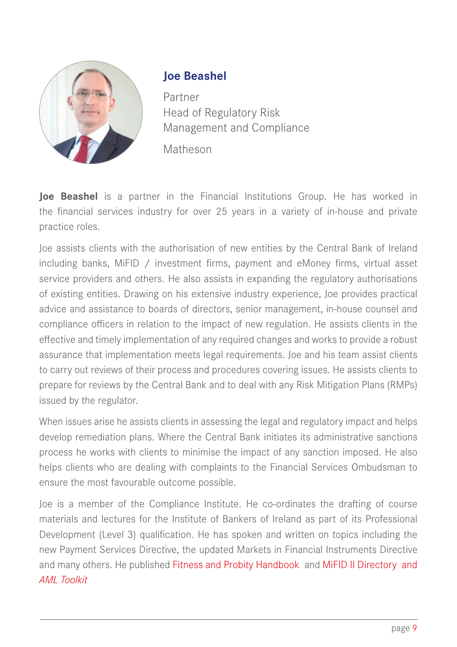

## <span id="page-8-0"></span>**Joe Beashel**

Partner Head of Regulatory Risk [Management and Compliance](https://www.matheson.com/people/joe-beashel) Matheson

**Joe Beashel** is a partner in the Financial Institutions Group. He has worked in the financial services industry for over 25 years in a variety of in-house and private practice roles.

Joe assists clients with the authorisation of new entities by the Central Bank of Ireland including banks, MiFID / investment firms, payment and eMoney firms, virtual asset service providers and others. He also assists in expanding the regulatory authorisations of existing entities. Drawing on his extensive industry experience, Joe provides practical advice and assistance to boards of directors, senior management, in-house counsel and compliance officers in relation to the impact of new regulation. He assists clients in the effective and timely implementation of any required changes and works to provide a robust assurance that implementation meets legal requirements. Joe and his team assist clients to carry out reviews of their process and procedures covering issues. He assists clients to prepare for reviews by the Central Bank and to deal with any Risk Mitigation Plans (RMPs) issued by the regulator.

When issues arise he assists clients in assessing the legal and regulatory impact and helps develop remediation plans. Where the Central Bank initiates its administrative sanctions process he works with clients to minimise the impact of any sanction imposed. He also helps clients who are dealing with complaints to the Financial Services Ombudsman to ensure the most favourable outcome possible.

Joe is a member of the Compliance Institute. He co-ordinates the drafting of course materials and lectures for the Institute of Bankers of Ireland as part of its Professional Development (Level 3) qualification. He has spoken and written on topics including the new Payment Services Directive, the updated Markets in Financial Instruments Directive and many others. He published [Fitness and Probity Handbook](https://www.matheson.com/docs/default-source/default-document-library/fitness-and-probity_final.pdf?sfvrsn=35730cf3_2) and [MiFID II Directory and](https://www.matheson.com/insights/detail/the-matheson-aml-toolkit-april-2021)  *[AML Toolkit](https://www.matheson.com/insights/detail/the-matheson-aml-toolkit-april-2021)*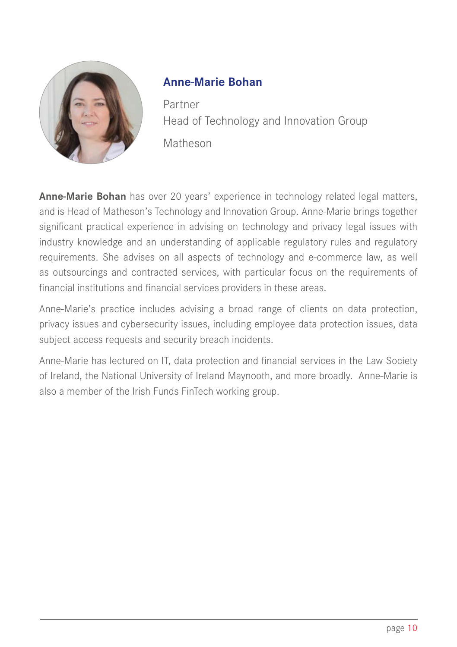

# <span id="page-9-0"></span>**Anne-Marie Bohan**

Partner [Head of Technology and Innovation Group](https://www.matheson.com/people/anne-marie-bohan) Matheson

**Anne-Marie Bohan** has over 20 years' experience in technology related legal matters, and is Head of Matheson's Technology and Innovation Group. Anne-Marie brings together significant practical experience in advising on technology and privacy legal issues with industry knowledge and an understanding of applicable regulatory rules and regulatory requirements. She advises on all aspects of technology and e-commerce law, as well as outsourcings and contracted services, with particular focus on the requirements of financial institutions and financial services providers in these areas.

Anne-Marie's practice includes advising a broad range of clients on data protection, privacy issues and cybersecurity issues, including employee data protection issues, data subject access requests and security breach incidents.

Anne-Marie has lectured on IT, data protection and financial services in the Law Society of Ireland, the National University of Ireland Maynooth, and more broadly. Anne-Marie is also a member of the Irish Funds FinTech working group.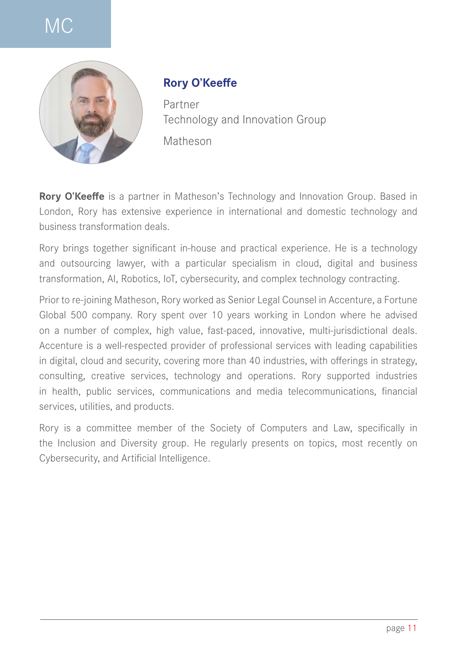# M<sub>C</sub>



#### <span id="page-10-0"></span>**Rory O'Keeffe**

Partner [Technology and Innovation Group](https://www.matheson.com/people/rory-o) Matheson

**Rory O'Keeffe** is a partner in Matheson's Technology and Innovation Group. Based in London, Rory has extensive experience in international and domestic technology and business transformation deals.

Rory brings together significant in-house and practical experience. He is a technology and outsourcing lawyer, with a particular specialism in cloud, digital and business transformation, AI, Robotics, IoT, cybersecurity, and complex technology contracting.

Prior to re-joining Matheson, Rory worked as Senior Legal Counsel in Accenture, a Fortune Global 500 company. Rory spent over 10 years working in London where he advised on a number of complex, high value, fast-paced, innovative, multi-jurisdictional deals. Accenture is a well-respected provider of professional services with leading capabilities in digital, cloud and security, covering more than 40 industries, with offerings in strategy, consulting, creative services, technology and operations. Rory supported industries in health, public services, communications and media telecommunications, financial services, utilities, and products.

Rory is a committee member of the Society of Computers and Law, specifically in the Inclusion and Diversity group. He regularly presents on topics, most recently on Cybersecurity, and Artificial Intelligence.